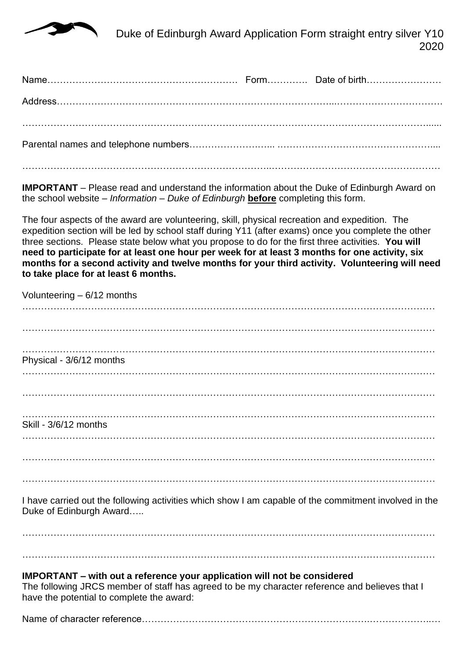

 Duke of Edinburgh Award Application Form straight entry silver Y10 2020

**IMPORTANT** – Please read and understand the information about the Duke of Edinburgh Award on the school website – *Information – Duke of Edinburgh* **before** completing this form.

The four aspects of the award are volunteering, skill, physical recreation and expedition. The expedition section will be led by school staff during Y11 (after exams) once you complete the other three sections. Please state below what you propose to do for the first three activities. **You will need to participate for at least one hour per week for at least 3 months for one activity, six months for a second activity and twelve months for your third activity. Volunteering will need to take place for at least 6 months.**

| Volunteering $-6/12$ months |
|-----------------------------|
|                             |
|                             |
|                             |
|                             |
| Physical - 3/6/12 months    |
|                             |
|                             |
|                             |
|                             |
| Skill - 3/6/12 months       |
|                             |
|                             |
|                             |
|                             |
|                             |

I have carried out the following activities which show I am capable of the commitment involved in the Duke of Edinburgh Award…..

…………………………………………………………………………………………………………………… ……………………………………………………………………………………………………………………

## **IMPORTANT – with out a reference your application will not be considered**

The following JRCS member of staff has agreed to be my character reference and believes that I have the potential to complete the award:

Name of character reference……………………………………………………………….………………..…